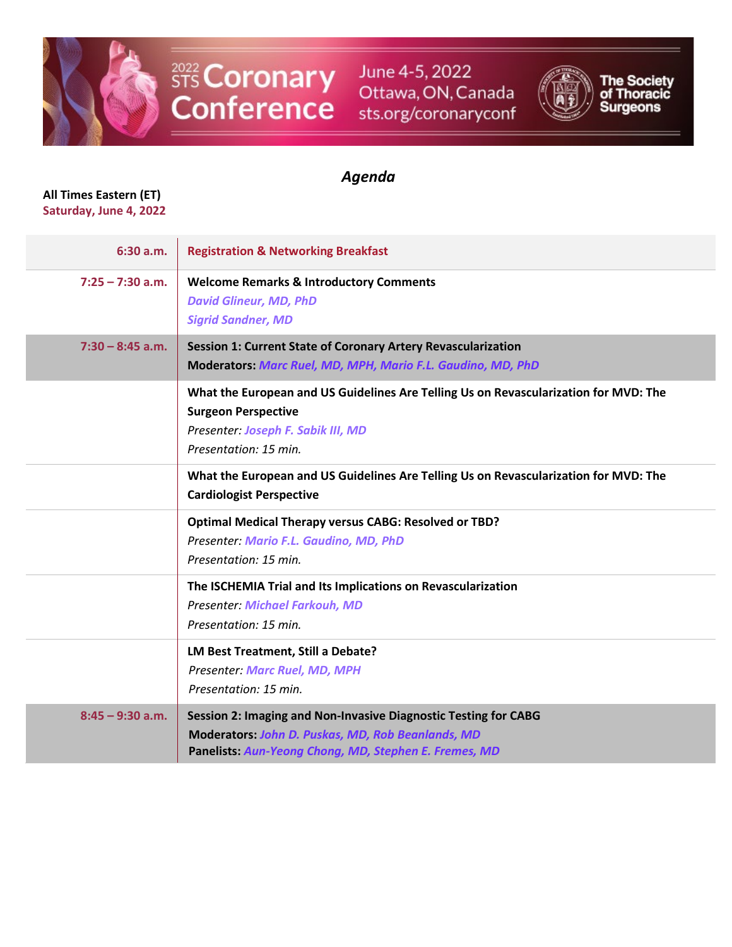

STS Coronary<br>Conference

June 4-5, 2022 Ottawa, ON, Canada sts.org/coronaryconf



The Society<br>of Thoracic<br>Surgeons

## *Agenda*

## **All Times Eastern (ET) Saturday, June 4, 2022**

| 6:30 a.m.          | <b>Registration &amp; Networking Breakfast</b>                                                                                                                                       |
|--------------------|--------------------------------------------------------------------------------------------------------------------------------------------------------------------------------------|
| $7:25 - 7:30$ a.m. | <b>Welcome Remarks &amp; Introductory Comments</b><br><b>David Glineur, MD, PhD</b><br><b>Sigrid Sandner, MD</b>                                                                     |
| $7:30 - 8:45$ a.m. | Session 1: Current State of Coronary Artery Revascularization<br>Moderators: Marc Ruel, MD, MPH, Mario F.L. Gaudino, MD, PhD                                                         |
|                    | What the European and US Guidelines Are Telling Us on Revascularization for MVD: The<br><b>Surgeon Perspective</b><br>Presenter: Joseph F. Sabik III, MD<br>Presentation: 15 min.    |
|                    | What the European and US Guidelines Are Telling Us on Revascularization for MVD: The<br><b>Cardiologist Perspective</b>                                                              |
|                    | <b>Optimal Medical Therapy versus CABG: Resolved or TBD?</b><br>Presenter: Mario F.L. Gaudino, MD, PhD<br>Presentation: 15 min.                                                      |
|                    | The ISCHEMIA Trial and Its Implications on Revascularization<br><b>Presenter: Michael Farkouh, MD</b><br>Presentation: 15 min.                                                       |
|                    | <b>LM Best Treatment, Still a Debate?</b><br><b>Presenter: Marc Ruel, MD, MPH</b><br>Presentation: 15 min.                                                                           |
| $8:45 - 9:30$ a.m. | <b>Session 2: Imaging and Non-Invasive Diagnostic Testing for CABG</b><br>Moderators: John D. Puskas, MD, Rob Beanlands, MD<br>Panelists: Aun-Yeong Chong, MD, Stephen E. Fremes, MD |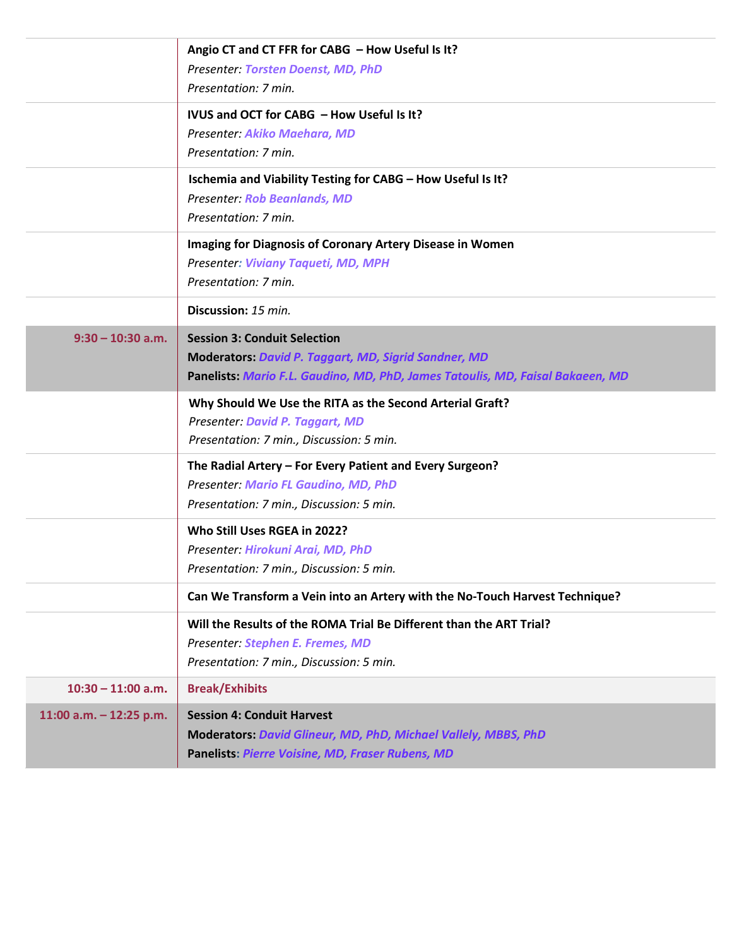|                         | Angio CT and CT FFR for CABG - How Useful Is It?<br>Presenter: Torsten Doenst, MD, PhD<br>Presentation: 7 min.                                                                       |
|-------------------------|--------------------------------------------------------------------------------------------------------------------------------------------------------------------------------------|
|                         | IVUS and OCT for CABG - How Useful Is It?<br>Presenter: Akiko Maehara, MD<br>Presentation: 7 min.                                                                                    |
|                         | Ischemia and Viability Testing for CABG - How Useful Is It?<br><b>Presenter: Rob Beanlands, MD</b><br>Presentation: 7 min.                                                           |
|                         | Imaging for Diagnosis of Coronary Artery Disease in Women<br>Presenter: Viviany Taqueti, MD, MPH<br>Presentation: 7 min.                                                             |
|                         | Discussion: 15 min.                                                                                                                                                                  |
| $9:30 - 10:30$ a.m.     | <b>Session 3: Conduit Selection</b><br><b>Moderators: David P. Taggart, MD, Sigrid Sandner, MD</b><br>Panelists: Mario F.L. Gaudino, MD, PhD, James Tatoulis, MD, Faisal Bakaeen, MD |
|                         | Why Should We Use the RITA as the Second Arterial Graft?<br>Presenter: David P. Taggart, MD<br>Presentation: 7 min., Discussion: 5 min.                                              |
|                         | The Radial Artery - For Every Patient and Every Surgeon?<br>Presenter: Mario FL Gaudino, MD, PhD<br>Presentation: 7 min., Discussion: 5 min.                                         |
|                         | Who Still Uses RGEA in 2022?<br>Presenter: Hirokuni Arai, MD, PhD<br>Presentation: 7 min., Discussion: 5 min.                                                                        |
|                         | Can We Transform a Vein into an Artery with the No-Touch Harvest Technique?                                                                                                          |
|                         | Will the Results of the ROMA Trial Be Different than the ART Trial?<br>Presenter: Stephen E. Fremes, MD<br>Presentation: 7 min., Discussion: 5 min.                                  |
| $10:30 - 11:00$ a.m.    | <b>Break/Exhibits</b>                                                                                                                                                                |
| 11:00 a.m. - 12:25 p.m. | <b>Session 4: Conduit Harvest</b><br>Moderators: David Glineur, MD, PhD, Michael Vallely, MBBS, PhD<br>Panelists: Pierre Voisine, MD, Fraser Rubens, MD                              |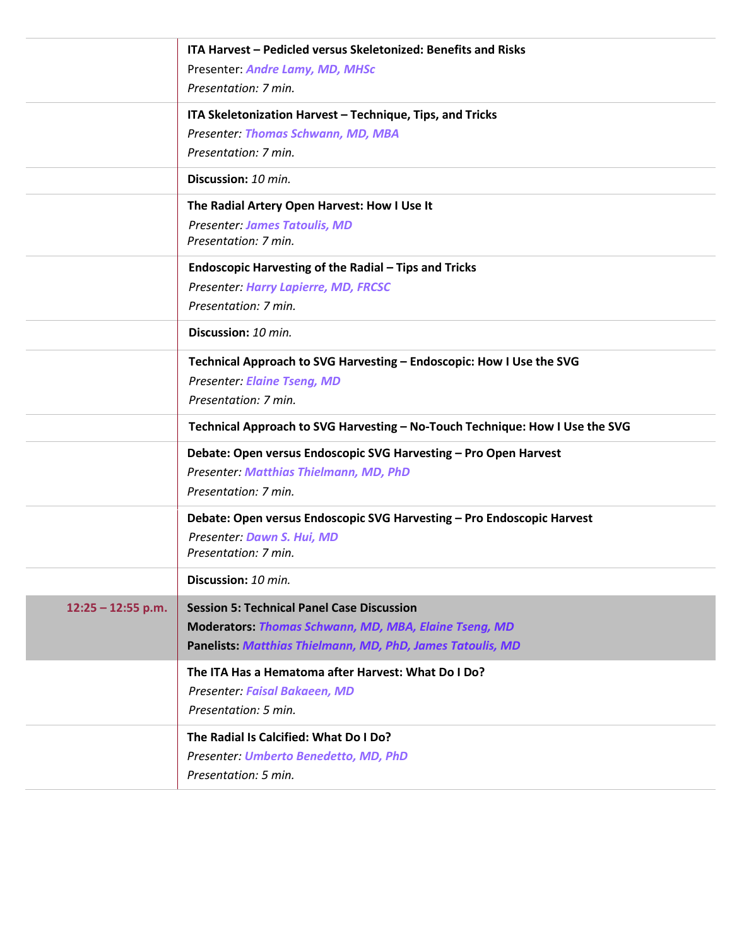|                      | ITA Harvest - Pedicled versus Skeletonized: Benefits and Risks<br>Presenter: Andre Lamy, MD, MHSc<br>Presentation: 7 min.                                                       |
|----------------------|---------------------------------------------------------------------------------------------------------------------------------------------------------------------------------|
|                      | ITA Skeletonization Harvest - Technique, Tips, and Tricks<br>Presenter: Thomas Schwann, MD, MBA<br>Presentation: 7 min.                                                         |
|                      | Discussion: 10 min.                                                                                                                                                             |
|                      | The Radial Artery Open Harvest: How I Use It<br><b>Presenter: James Tatoulis, MD</b><br>Presentation: 7 min.                                                                    |
|                      | <b>Endoscopic Harvesting of the Radial - Tips and Tricks</b><br>Presenter: Harry Lapierre, MD, FRCSC<br>Presentation: 7 min.                                                    |
|                      | Discussion: 10 min.                                                                                                                                                             |
|                      | Technical Approach to SVG Harvesting - Endoscopic: How I Use the SVG<br><b>Presenter Elaine Tseng, MD</b><br>Presentation: 7 min.                                               |
|                      | Technical Approach to SVG Harvesting - No-Touch Technique: How I Use the SVG                                                                                                    |
|                      | Debate: Open versus Endoscopic SVG Harvesting - Pro Open Harvest<br>Presenter: Matthias Thielmann, MD, PhD<br>Presentation: 7 min.                                              |
|                      | Debate: Open versus Endoscopic SVG Harvesting - Pro Endoscopic Harvest<br>Presenter: Dawn S. Hui, MD<br>Presentation: 7 min.                                                    |
|                      | Discussion: 10 min.                                                                                                                                                             |
| $12:25 - 12:55$ p.m. | <b>Session 5: Technical Panel Case Discussion</b><br><b>Moderators: Thomas Schwann, MD, MBA, Elaine Tseng, MD</b><br>Panelists: Matthias Thielmann, MD, PhD, James Tatoulis, MD |
|                      | The ITA Has a Hematoma after Harvest: What Do I Do?<br><b>Presenter: Faisal Bakaeen, MD</b><br>Presentation: 5 min.                                                             |
|                      | The Radial Is Calcified: What Do I Do?<br>Presenter: Umberto Benedetto, MD, PhD<br>Presentation: 5 min.                                                                         |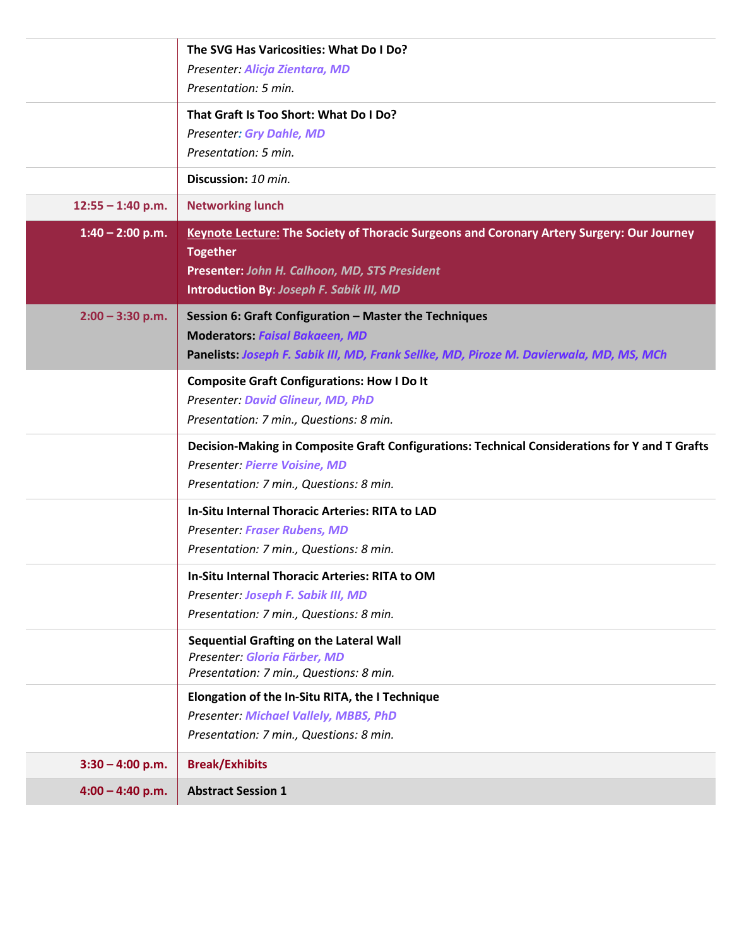|                     | The SVG Has Varicosities: What Do I Do?<br>Presenter: Alicja Zientara, MD<br>Presentation: 5 min.                                                                                                                 |
|---------------------|-------------------------------------------------------------------------------------------------------------------------------------------------------------------------------------------------------------------|
|                     | That Graft Is Too Short: What Do I Do?<br><b>Presenter: Gry Dahle, MD</b><br>Presentation: 5 min.                                                                                                                 |
|                     | Discussion: 10 min.                                                                                                                                                                                               |
| $12:55 - 1:40$ p.m. | <b>Networking lunch</b>                                                                                                                                                                                           |
| $1:40 - 2:00$ p.m.  | <b>Keynote Lecture: The Society of Thoracic Surgeons and Coronary Artery Surgery: Our Journey</b><br><b>Together</b><br>Presenter: John H. Calhoon, MD, STS President<br>Introduction By: Joseph F. Sabik III, MD |
| $2:00 - 3:30$ p.m.  | Session 6: Graft Configuration - Master the Techniques<br><b>Moderators: Faisal Bakaeen, MD</b><br>Panelists: Joseph F. Sabik III, MD, Frank Sellke, MD, Piroze M. Davierwala, MD, MS, MCh                        |
|                     | <b>Composite Graft Configurations: How I Do It</b><br><b>Presenter: David Glineur, MD, PhD</b><br>Presentation: 7 min., Questions: 8 min.                                                                         |
|                     | Decision-Making in Composite Graft Configurations: Technical Considerations for Y and T Grafts<br><b>Presenter: Pierre Voisine, MD</b><br>Presentation: 7 min., Questions: 8 min.                                 |
|                     | In-Situ Internal Thoracic Arteries: RITA to LAD<br><b>Presenter: Fraser Rubens, MD</b><br>Presentation: 7 min., Questions: 8 min.                                                                                 |
|                     | <b>In-Situ Internal Thoracic Arteries: RITA to OM</b><br>Presenter: Joseph F. Sabik III, MD<br>Presentation: 7 min., Questions: 8 min.                                                                            |
|                     | <b>Sequential Grafting on the Lateral Wall</b><br>Presenter: Gloria Färber, MD<br>Presentation: 7 min., Questions: 8 min.                                                                                         |
|                     | Elongation of the In-Situ RITA, the I Technique<br><b>Presenter: Michael Vallely, MBBS, PhD</b><br>Presentation: 7 min., Questions: 8 min.                                                                        |
| $3:30 - 4:00$ p.m.  | <b>Break/Exhibits</b>                                                                                                                                                                                             |
| $4:00 - 4:40$ p.m.  | <b>Abstract Session 1</b>                                                                                                                                                                                         |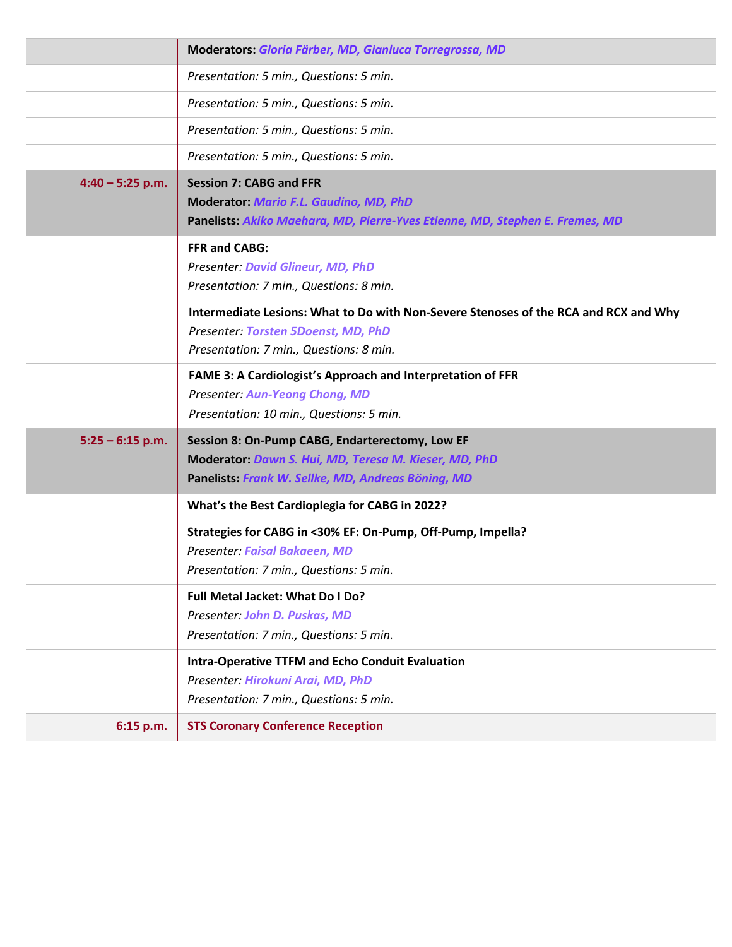|                    | Moderators: Gloria Färber, MD, Gianluca Torregrossa, MD                                                                                                                |
|--------------------|------------------------------------------------------------------------------------------------------------------------------------------------------------------------|
|                    | Presentation: 5 min., Questions: 5 min.                                                                                                                                |
|                    | Presentation: 5 min., Questions: 5 min.                                                                                                                                |
|                    | Presentation: 5 min., Questions: 5 min.                                                                                                                                |
|                    | Presentation: 5 min., Questions: 5 min.                                                                                                                                |
| $4:40 - 5:25$ p.m. | <b>Session 7: CABG and FFR</b><br>Moderator: Mario F.L. Gaudino, MD, PhD<br>Panelists: Akiko Maehara, MD, Pierre-Yves Etienne, MD, Stephen E. Fremes, MD               |
|                    | <b>FFR and CABG:</b><br><b>Presenter: David Glineur, MD, PhD</b><br>Presentation: 7 min., Questions: 8 min.                                                            |
|                    | Intermediate Lesions: What to Do with Non-Severe Stenoses of the RCA and RCX and Why<br>Presenter: Torsten 5Doenst, MD, PhD<br>Presentation: 7 min., Questions: 8 min. |
|                    | FAME 3: A Cardiologist's Approach and Interpretation of FFR<br>Presenter: Aun-Yeong Chong, MD<br>Presentation: 10 min., Questions: 5 min.                              |
| $5:25 - 6:15$ p.m. | Session 8: On-Pump CABG, Endarterectomy, Low EF<br>Moderator: Dawn S. Hui, MD, Teresa M. Kieser, MD, PhD<br>Panelists: Frank W. Sellke, MD, Andreas Böning, MD         |
|                    | What's the Best Cardioplegia for CABG in 2022?                                                                                                                         |
|                    | Strategies for CABG in <30% EF: On-Pump, Off-Pump, Impella?<br>Presenter: Faisal Bakaeen, MD<br>Presentation: 7 min., Questions: 5 min.                                |
|                    | Full Metal Jacket: What Do I Do?<br>Presenter: John D. Puskas, MD<br>Presentation: 7 min., Questions: 5 min.                                                           |
|                    | <b>Intra-Operative TTFM and Echo Conduit Evaluation</b><br>Presenter: Hirokuni Arai, MD, PhD<br>Presentation: 7 min., Questions: 5 min.                                |
| 6:15 p.m.          | <b>STS Coronary Conference Reception</b>                                                                                                                               |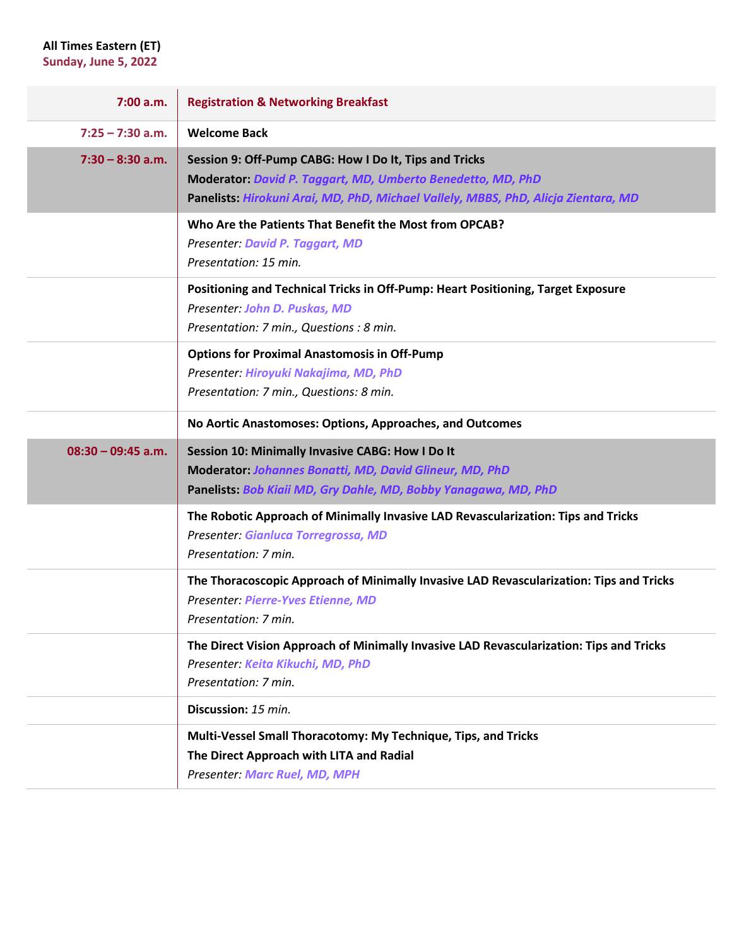## **All Times Eastern (ET) Sunday, June 5, 2022**

| 7:00 a.m.            | <b>Registration &amp; Networking Breakfast</b>                                                                                                                                                              |
|----------------------|-------------------------------------------------------------------------------------------------------------------------------------------------------------------------------------------------------------|
| $7:25 - 7:30$ a.m.   | <b>Welcome Back</b>                                                                                                                                                                                         |
| $7:30 - 8:30$ a.m.   | Session 9: Off-Pump CABG: How I Do It, Tips and Tricks<br>Moderator: David P. Taggart, MD, Umberto Benedetto, MD, PhD<br>Panelists: Hirokuni Arai, MD, PhD, Michael Vallely, MBBS, PhD, Alicja Zientara, MD |
|                      | Who Are the Patients That Benefit the Most from OPCAB?<br>Presenter: David P. Taggart, MD<br>Presentation: 15 min.                                                                                          |
|                      | Positioning and Technical Tricks in Off-Pump: Heart Positioning, Target Exposure<br>Presenter: John D. Puskas, MD<br>Presentation: 7 min., Questions : 8 min.                                               |
|                      | <b>Options for Proximal Anastomosis in Off-Pump</b><br>Presenter: Hiroyuki Nakajima, MD, PhD<br>Presentation: 7 min., Questions: 8 min.                                                                     |
|                      | No Aortic Anastomoses: Options, Approaches, and Outcomes                                                                                                                                                    |
| $08:30 - 09:45$ a.m. | Session 10: Minimally Invasive CABG: How I Do It<br>Moderator: Johannes Bonatti, MD, David Glineur, MD, PhD<br>Panelists: Bob Kiaii MD, Gry Dahle, MD, Bobby Yanagawa, MD, PhD                              |
|                      | The Robotic Approach of Minimally Invasive LAD Revascularization: Tips and Tricks<br>Presenter: Gianluca Torregrossa, MD<br>Presentation: 7 min.                                                            |
|                      | The Thoracoscopic Approach of Minimally Invasive LAD Revascularization: Tips and Tricks<br>Presenter: Pierre-Yves Etienne, MD<br>Presentation: 7 min.                                                       |
|                      | The Direct Vision Approach of Minimally Invasive LAD Revascularization: Tips and Tricks<br>Presenter: Keita Kikuchi, MD, PhD<br>Presentation: 7 min.                                                        |
|                      | Discussion: 15 min.                                                                                                                                                                                         |
|                      | Multi-Vessel Small Thoracotomy: My Technique, Tips, and Tricks<br>The Direct Approach with LITA and Radial<br>Presenter: Marc Ruel, MD, MPH                                                                 |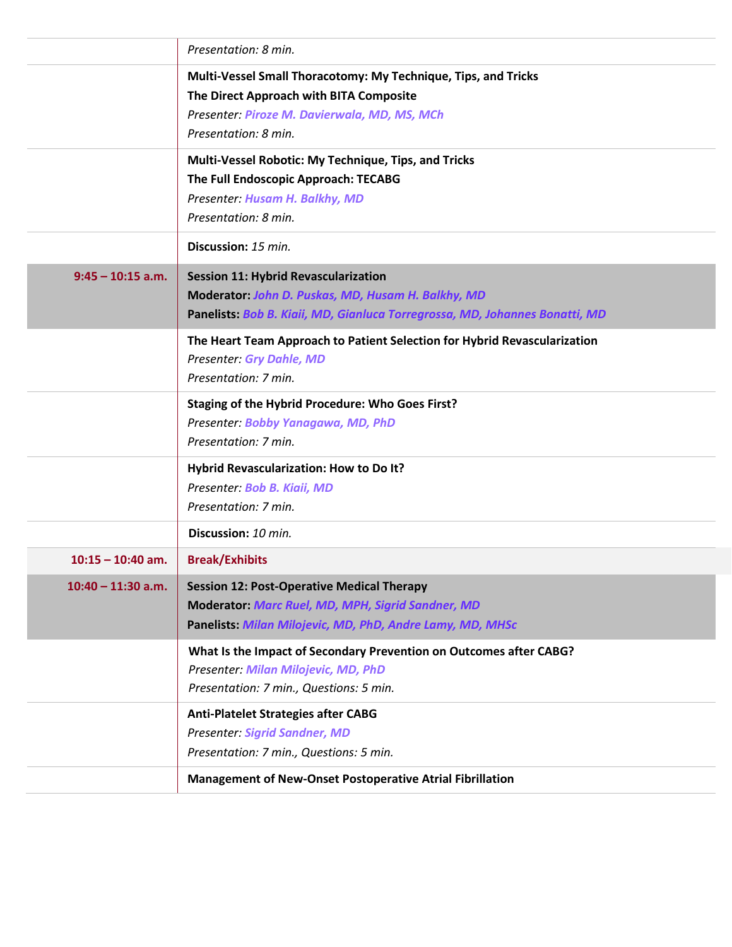|                      | Presentation: 8 min.                                                                                                                                                             |
|----------------------|----------------------------------------------------------------------------------------------------------------------------------------------------------------------------------|
|                      | Multi-Vessel Small Thoracotomy: My Technique, Tips, and Tricks<br>The Direct Approach with BITA Composite<br>Presenter: Piroze M. Davierwala, MD, MS, MCh                        |
|                      | Presentation: 8 min.                                                                                                                                                             |
|                      | Multi-Vessel Robotic: My Technique, Tips, and Tricks<br>The Full Endoscopic Approach: TECABG<br>Presenter: Husam H. Balkhy, MD<br>Presentation: 8 min.                           |
|                      | Discussion: 15 min.                                                                                                                                                              |
| $9:45 - 10:15$ a.m.  | <b>Session 11: Hybrid Revascularization</b><br>Moderator: John D. Puskas, MD, Husam H. Balkhy, MD<br>Panelists: Bob B. Kiaii, MD, Gianluca Torregrossa, MD, Johannes Bonatti, MD |
|                      | The Heart Team Approach to Patient Selection for Hybrid Revascularization<br><b>Presenter: Gry Dahle, MD</b><br>Presentation: 7 min.                                             |
|                      | <b>Staging of the Hybrid Procedure: Who Goes First?</b><br>Presenter: Bobby Yanagawa, MD, PhD<br>Presentation: 7 min.                                                            |
|                      | Hybrid Revascularization: How to Do It?<br>Presenter: Bob B. Kiaii, MD<br>Presentation: 7 min.                                                                                   |
|                      | Discussion: 10 min.                                                                                                                                                              |
| $10:15 - 10:40$ am.  | <b>Break/Exhibits</b>                                                                                                                                                            |
| $10:40 - 11:30$ a.m. | <b>Session 12: Post-Operative Medical Therapy</b><br>Moderator: Marc Ruel, MD, MPH, Sigrid Sandner, MD<br>Panelists: Milan Milojevic, MD, PhD, Andre Lamy, MD, MHSc              |
|                      | What Is the Impact of Secondary Prevention on Outcomes after CABG?<br>Presenter: Milan Milojevic, MD, PhD<br>Presentation: 7 min., Questions: 5 min.                             |
|                      | <b>Anti-Platelet Strategies after CABG</b><br><b>Presenter: Sigrid Sandner, MD</b><br>Presentation: 7 min., Questions: 5 min.                                                    |
|                      | Management of New-Onset Postoperative Atrial Fibrillation                                                                                                                        |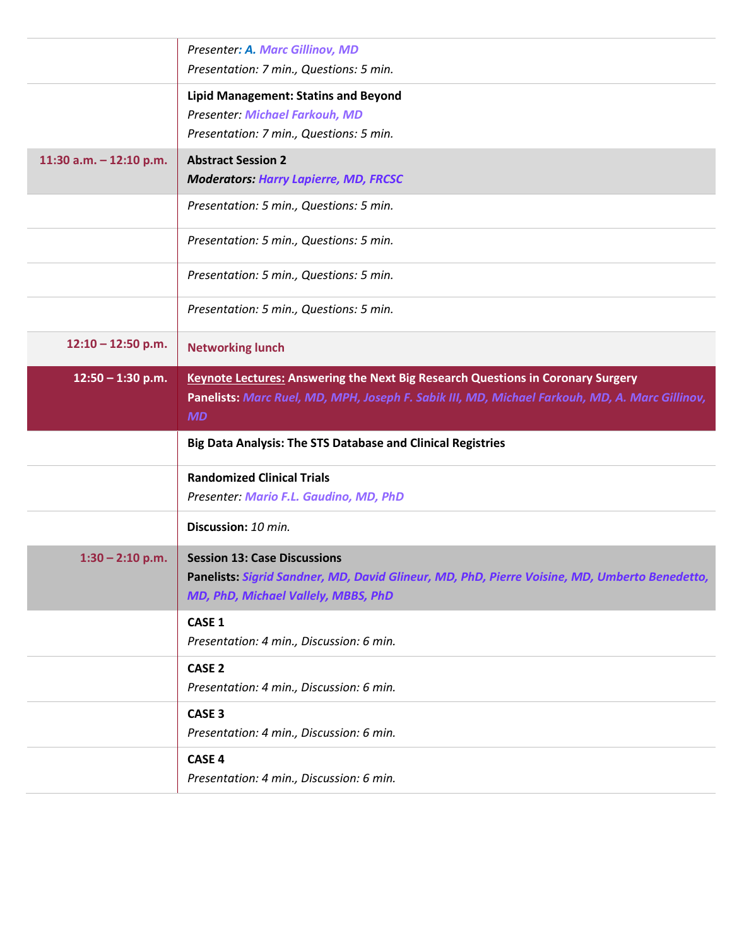|                         | Presenter: A. Marc Gillinov, MD<br>Presentation: 7 min., Questions: 5 min.                                                                                                                     |
|-------------------------|------------------------------------------------------------------------------------------------------------------------------------------------------------------------------------------------|
|                         | Lipid Management: Statins and Beyond<br><b>Presenter: Michael Farkouh, MD</b><br>Presentation: 7 min., Questions: 5 min.                                                                       |
| 11:30 a.m. - 12:10 p.m. | <b>Abstract Session 2</b><br><b>Moderators: Harry Lapierre, MD, FRCSC</b>                                                                                                                      |
|                         | Presentation: 5 min., Questions: 5 min.                                                                                                                                                        |
|                         | Presentation: 5 min., Questions: 5 min.                                                                                                                                                        |
|                         | Presentation: 5 min., Questions: 5 min.                                                                                                                                                        |
|                         | Presentation: 5 min., Questions: 5 min.                                                                                                                                                        |
| $12:10 - 12:50$ p.m.    | <b>Networking lunch</b>                                                                                                                                                                        |
| $12:50 - 1:30$ p.m.     | Keynote Lectures: Answering the Next Big Research Questions in Coronary Surgery<br>Panelists: Marc Ruel, MD, MPH, Joseph F. Sabik III, MD, Michael Farkouh, MD, A. Marc Gillinov,<br><b>MD</b> |
|                         | <b>Big Data Analysis: The STS Database and Clinical Registries</b>                                                                                                                             |
|                         | <b>Randomized Clinical Trials</b><br>Presenter: Mario F.L. Gaudino, MD, PhD                                                                                                                    |
|                         | Discussion: 10 min.                                                                                                                                                                            |
| $1:30 - 2:10$ p.m.      | <b>Session 13: Case Discussions</b><br>Panelists: Sigrid Sandner, MD, David Glineur, MD, PhD, Pierre Voisine, MD, Umberto Benedetto,<br>MD, PhD, Michael Vallely, MBBS, PhD                    |
|                         | CASE 1<br>Presentation: 4 min., Discussion: 6 min.                                                                                                                                             |
|                         | CASE <sub>2</sub>                                                                                                                                                                              |
|                         | Presentation: 4 min., Discussion: 6 min.                                                                                                                                                       |
|                         | CASE <sub>3</sub><br>Presentation: 4 min., Discussion: 6 min.                                                                                                                                  |